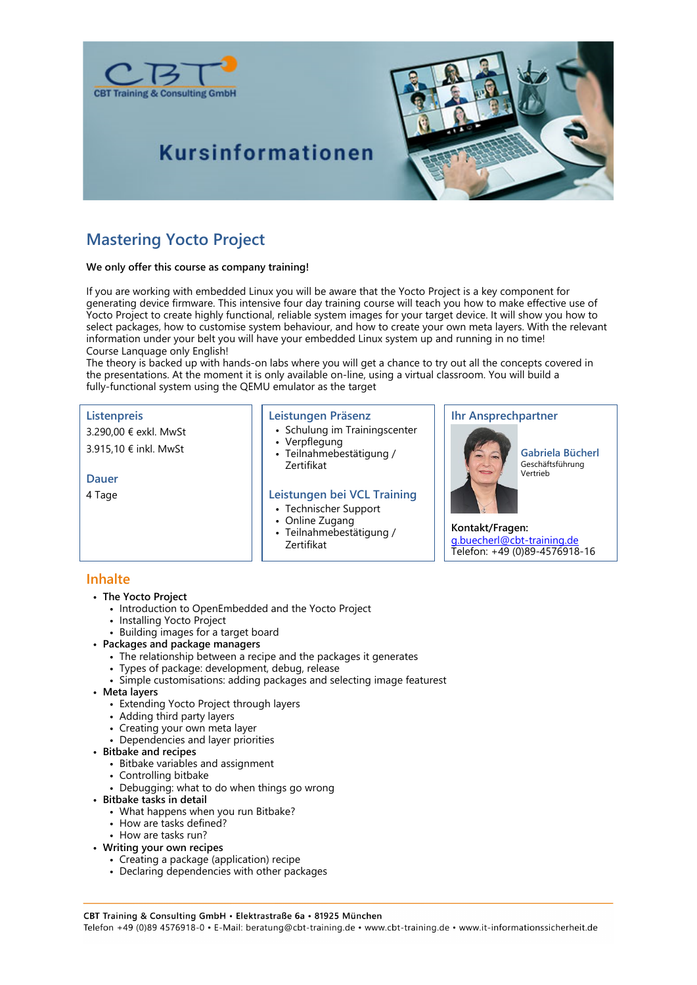

## **Kursinformationen**



### **Mastering Yocto Project**

#### **We only offer this course as company training!**

If you are working with embedded Linux you will be aware that the Yocto Project is a key component for generating device firmware. This intensive four day training course will teach you how to make effective use of Yocto Project to create highly functional, reliable system images for your target device. It will show you how to select packages, how to customise system behaviour, and how to create your own meta layers. With the relevant information under your belt you will have your embedded Linux system up and running in no time! Course Lanquage only English!

The theory is backed up with hands-on labs where you will get a chance to try out all the concepts covered in the presentations. At the moment it is only available on-line, using a virtual classroom. You will build a fully-functional system using the QEMU emulator as the target

#### **Listenpreis**

3.290,00 € exkl. MwSt

#### 3.915,10 € inkl. MwSt

#### **Dauer**

4 Tage

#### **Leistungen Präsenz**

- Schulung im Trainingscenter
- Verpflegung
- Teilnahmebestätigung / Zertifikat

#### **Leistungen bei VCL Training**

- Technischer Support
- Online Zugang
- Teilnahmebestätigung / Zertifikat

#### **Ihr Ansprechpartner**



**Gabriela Bücherl** Geschäftsführung Vertrieb

**Kontakt/Fragen:** g.buecherl@cbt-training.de Telefon: +49 (0)89-4576918-16

### **Inhalte**

- **The Yocto Project**
	- Introduction to OpenEmbedded and the Yocto Project
	- Installing Yocto Project
	- Building images for a target board
- **Packages and package managers**
	- The relationship between a recipe and the packages it generates
	- Types of package: development, debug, release
	- Simple customisations: adding packages and selecting image featurest
- **Meta layers**
	- Extending Yocto Project through layers
	- Adding third party layers
	- Creating your own meta layer
	- Dependencies and layer priorities
- **Bitbake and recipes**
	- Bitbake variables and assignment
	- Controlling bitbake
	- Debugging: what to do when things go wrong
- **Bitbake tasks in detail**
	- What happens when you run Bitbake?
	- How are tasks defined?
	- How are tasks run?
- **Writing your own recipes**
	- Creating a package (application) recipe
	- Declaring dependencies with other packages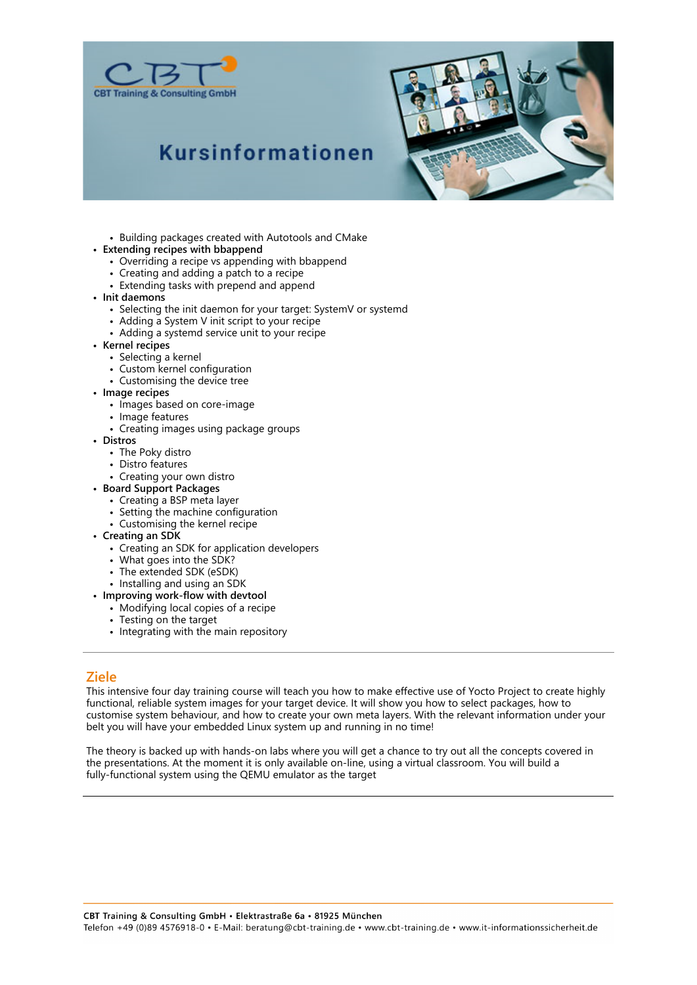



# **Kursinformationen**

- Building packages created with Autotools and CMake
- **Extending recipes with bbappend**
	- Overriding a recipe vs appending with bbappend
	- Creating and adding a patch to a recipe
	- Extending tasks with prepend and append
- **Init daemons**
	- Selecting the init daemon for your target: SystemV or systemd
	- Adding a System V init script to your recipe
	- Adding a systemd service unit to your recipe
- **Kernel recipes**
	- Selecting a kernel
	- Custom kernel configuration
	- Customising the device tree
- **Image recipes**
	- Images based on core-image
	- Image features
	- Creating images using package groups
- **Distros**
	- The Poky distro
	- Distro features
	- Creating your own distro
- **Board Support Packages**
	- Creating a BSP meta layer
	- Setting the machine configuration
	- Customising the kernel recipe
- **Creating an SDK**
	- Creating an SDK for application developers
	- What goes into the SDK?
	- The extended SDK (eSDK)
	- Installing and using an SDK
- **Improving work-flow with devtool**
	- Modifying local copies of a recipe
	- Testing on the target
	- Integrating with the main repository

#### **Ziele**

This intensive four day training course will teach you how to make effective use of Yocto Project to create highly functional, reliable system images for your target device. It will show you how to select packages, how to customise system behaviour, and how to create your own meta layers. With the relevant information under your belt you will have your embedded Linux system up and running in no time!

The theory is backed up with hands-on labs where you will get a chance to try out all the concepts covered in the presentations. At the moment it is only available on-line, using a virtual classroom. You will build a fully-functional system using the QEMU emulator as the target